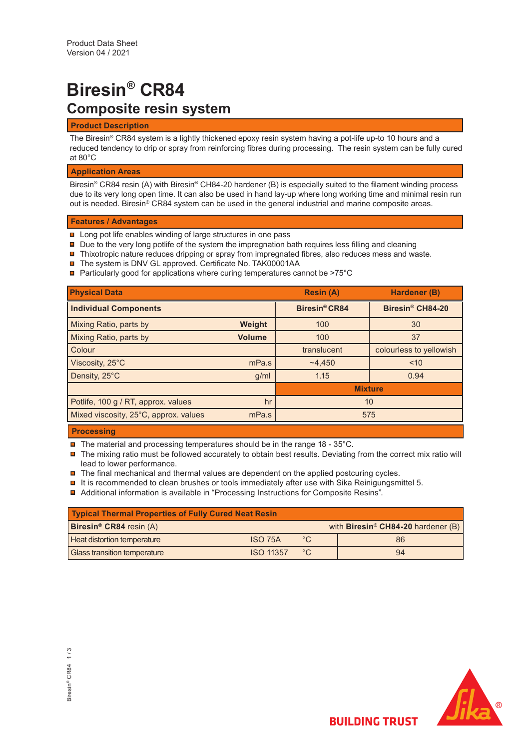# **Biresin® CR84 Composite resin system**

## **Product Description**

The Biresin® CR84 system is a lightly thickened epoxy resin system having a pot-life up-to 10 hours and a reduced tendency to drip or spray from reinforcing fibres during processing. The resin system can be fully cured at 80°C

# **Application Areas**

Biresin® CR84 resin (A) with Biresin® CH84-20 hardener (B) is especially suited to the filament winding process due to its very long open time. It can also be used in hand lay-up where long working time and minimal resin run out is needed. Biresin® CR84 system can be used in the general industrial and marine composite areas.

## **Features / Advantages**

- **□** Long pot life enables winding of large structures in one pass
- $\blacksquare$  Due to the very long potlife of the system the impregnation bath requires less filling and cleaning
- $\blacksquare$  Thixotropic nature reduces dripping or spray from impregnated fibres, also reduces mess and waste.
- The system is DNV GL approved. Certificate No. TAK00001AA
- Particularly good for applications where curing temperatures cannot be >75°C

| <b>Physical Data</b>                  |               | <b>Resin (A)</b>     | <b>Hardener (B)</b>          |  |
|---------------------------------------|---------------|----------------------|------------------------------|--|
| <b>Individual Components</b>          |               | <b>Biresin® CR84</b> | Biresin <sup>®</sup> CH84-20 |  |
| Mixing Ratio, parts by                | Weight        | 100                  | 30                           |  |
| Mixing Ratio, parts by                | <b>Volume</b> | 100                  | 37                           |  |
| Colour                                |               | translucent          | colourless to yellowish      |  |
| Viscosity, 25°C                       | mPa.s         | ~24.450              | ~10                          |  |
| Density, 25°C                         | g/ml          | 1.15                 | 0.94                         |  |
|                                       |               | <b>Mixture</b>       |                              |  |
| Potlife, 100 g / RT, approx. values   | hr            | 10                   |                              |  |
| Mixed viscosity, 25°C, approx. values | mPa.s         | 575                  |                              |  |

## **Processing**

- $\blacksquare$  The material and processing temperatures should be in the range 18 35°C.
- The mixing ratio must be followed accurately to obtain best results. Deviating from the correct mix ratio will lead to lower performance.
- $\blacksquare$  The final mechanical and thermal values are dependent on the applied postcuring cycles.
- $\blacksquare$  It is recommended to clean brushes or tools immediately after use with Sika Reinigungsmittel 5.
- Additional information is available in "Processing Instructions for Composite Resins".

| Typical Thermal Properties of Fully Cured Neat Resin |                  |              |  |                                                |  |  |
|------------------------------------------------------|------------------|--------------|--|------------------------------------------------|--|--|
| <b>Biresin<sup>®</sup> CR84</b> resin $(A)$          |                  |              |  | with Biresin <sup>®</sup> CH84-20 hardener (B) |  |  |
| <b>Heat distortion temperature</b>                   | ISO 75A          | $^{\circ}$ C |  | 86                                             |  |  |
| <b>Glass transition temperature</b>                  | <b>ISO 11357</b> | $^{\circ}C$  |  | 94                                             |  |  |

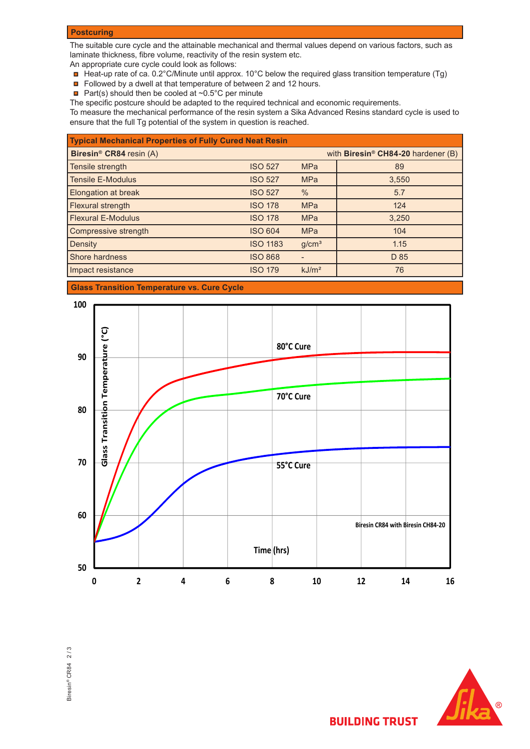## **Postcuring**

The suitable cure cycle and the attainable mechanical and thermal values depend on various factors, such as laminate thickness, fibre volume, reactivity of the resin system etc.

An appropriate cure cycle could look as follows:

- Heat-up rate of ca. 0.2°C/Minute until approx. 10°C below the required glass transition temperature (Tg)
- Followed by a dwell at that temperature of between 2 and 12 hours.
- Part(s) should then be cooled at  $\sim 0.5^{\circ}$ C per minute

The specific postcure should be adapted to the required technical and economic requirements.

To measure the mechanical performance of the resin system a Sika Advanced Resins standard cycle is used to ensure that the full Tg potential of the system in question is reached.

| <b>Typical Mechanical Properties of Fully Cured Neat Resin</b> |                 |                   |                                                |  |  |  |
|----------------------------------------------------------------|-----------------|-------------------|------------------------------------------------|--|--|--|
| Biresin <sup>®</sup> CR84 resin (A)                            |                 |                   | with Biresin <sup>®</sup> CH84-20 hardener (B) |  |  |  |
| Tensile strength                                               | <b>ISO 527</b>  | <b>MPa</b>        | 89                                             |  |  |  |
| <b>Tensile E-Modulus</b>                                       | <b>ISO 527</b>  | <b>MPa</b>        | 3,550                                          |  |  |  |
| <b>Elongation at break</b>                                     | <b>ISO 527</b>  | $\%$              | 5.7                                            |  |  |  |
| Flexural strength                                              | <b>ISO 178</b>  | <b>MPa</b>        | 124                                            |  |  |  |
| <b>Flexural E-Modulus</b>                                      | <b>ISO 178</b>  | <b>MPa</b>        | 3,250                                          |  |  |  |
| Compressive strength                                           | <b>ISO 604</b>  | <b>MPa</b>        | 104                                            |  |  |  |
| Density                                                        | <b>ISO 1183</b> | g/cm <sup>3</sup> | 1.15                                           |  |  |  |
| <b>Shore hardness</b>                                          | <b>ISO 868</b>  |                   | D 85                                           |  |  |  |
| Impact resistance                                              | <b>ISO 179</b>  | kJ/m <sup>2</sup> | 76                                             |  |  |  |

# **Glass Transition Temperature vs. Cure Cycle**







**BUILDING TRUST**